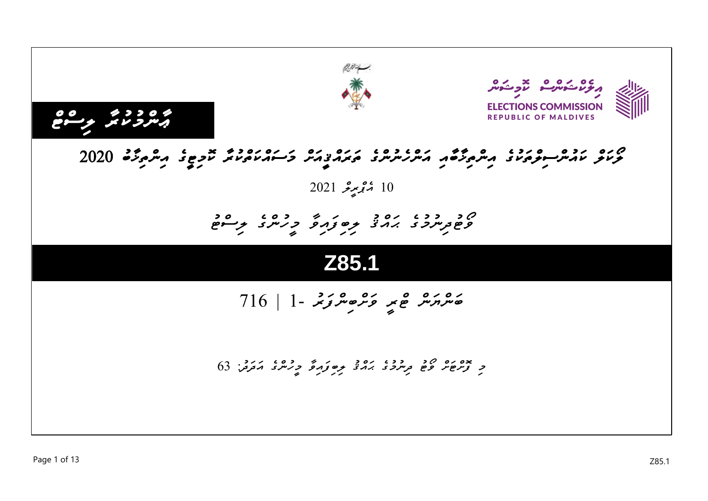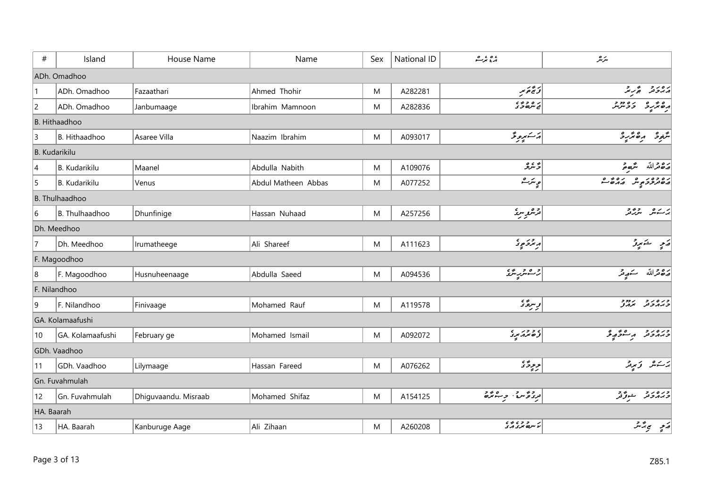| #          | Island           | House Name           | Name                | Sex       | National ID | ، ه ، ره<br>پر ۽ برگ                             | ىئرىتر                                       |
|------------|------------------|----------------------|---------------------|-----------|-------------|--------------------------------------------------|----------------------------------------------|
|            | ADh. Omadhoo     |                      |                     |           |             |                                                  |                                              |
|            | ADh. Omadhoo     | Fazaathari           | Ahmed Thohir        | M         | A282281     | توځ ځوسه                                         | رەرو ئورو                                    |
| 2          | ADh. Omadhoo     | Janbumaage           | Ibrahim Mamnoon     | M         | A282836     | ر ه د د »<br>نح سره تر د                         | ر ه دد د<br>تر تر س<br>ە ھەترىر <sup>ە</sup> |
|            | B. Hithaadhoo    |                      |                     |           |             |                                                  |                                              |
| 3          | B. Hithaadhoo    | Asaree Villa         | Naazim Ibrahim      | M         | A093017     | ئەسەئىيە بەرگە<br>                               | برە ئۆرۈ<br>متزمور                           |
|            | B. Kudarikilu    |                      |                     |           |             |                                                  |                                              |
| 4          | B. Kudarikilu    | Maanel               | Abdulla Nabith      | ${\sf M}$ | A109076     | یږ ه<br>تر سربو                                  | برة قرالله سترجدة                            |
| 5          | B. Kudarikilu    | Venus                | Abdul Matheen Abbas | M         | A077252     | وبئرره                                           | נסכסנקס נספים                                |
|            | B. Thulhaadhoo   |                      |                     |           |             |                                                  |                                              |
| 6          | B. Thulhaadhoo   | Dhunfinige           | Hassan Nuhaad       | ${\sf M}$ | A257256     | قرىثرىرىكە                                       | ىر سەھرە ئەترىتىر                            |
|            | Dh. Meedhoo      |                      |                     |           |             |                                                  |                                              |
|            | Dh. Meedhoo      | Irumatheege          | Ali Shareef         | ${\sf M}$ | A111623     | ېر تر تر په د                                    | أرشم المستشعرة                               |
|            | F. Magoodhoo     |                      |                     |           |             |                                                  |                                              |
| 8          | F. Magoodhoo     | Husnuheenaage        | Abdulla Saeed       | ${\sf M}$ | A094536     | <sup>ر</sup> ج سے بتر پر بتر کی                  | رەقمەللە سىھەتىر                             |
|            | F. Nilandhoo     |                      |                     |           |             |                                                  |                                              |
| 9          | F. Nilandhoo     | Finivaage            | Mohamed Rauf        | M         | A119578     | و سرچ <sup>ي</sup>                               | כנסנכ נדבר<br>במחכת מחצ                      |
|            | GA. Kolamaafushi |                      |                     |           |             |                                                  |                                              |
| 10         | GA. Kolamaafushi | February ge          | Mohamed Ismail      | ${\sf M}$ | A092072     | ې د درېږي<br>زه <sub>مر</sub> تر <sub>مړ</sub> ي | ورەرو بەر ئەر                                |
|            | GDh. Vaadhoo     |                      |                     |           |             |                                                  |                                              |
| 11         | GDh. Vaadhoo     | Lilymaage            | Hassan Fareed       | ${\sf M}$ | A076262     | ووڈ کی                                           | يُرَسَدَسُ وَبِرِيْرُ                        |
|            | Gn. Fuvahmulah   |                      |                     |           |             |                                                  |                                              |
| 12         | Gn. Fuvahmulah   | Dhiguvaandu. Misraab | Mohamed Shifaz      | ${\sf M}$ | A154125     | و د هر د .<br>ترد و س . و سر پره                 | ورەرو ھۆتۈ<br><i>دىد</i> ەردىر ھوتى          |
| HA. Baarah |                  |                      |                     |           |             |                                                  |                                              |
| 13         | HA. Baarah       | Kanburuge Aage       | Ali Zihaan          | M         | A260208     | ر د د ، د ، د ،<br>ماسرچ پرۍ د د                 | أرشع بمحسر                                   |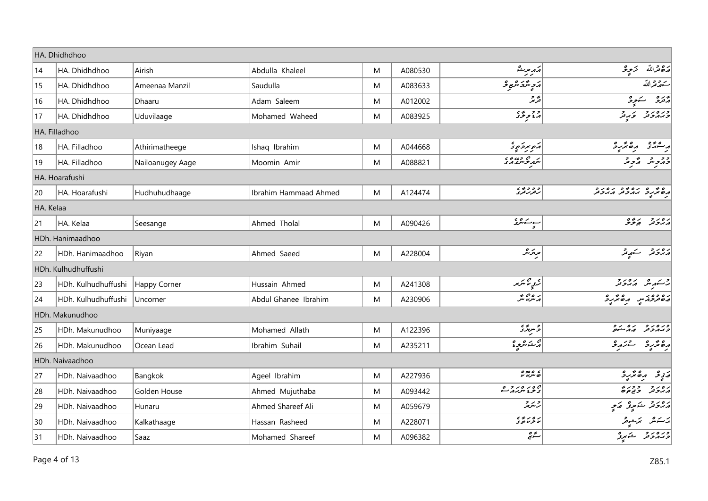|           | HA. Dhidhdhoo       |                  |                              |           |         |                                      |                                              |
|-----------|---------------------|------------------|------------------------------|-----------|---------|--------------------------------------|----------------------------------------------|
| 14        | HA. Dhidhdhoo       | Airish           | Abdulla Khaleel              | M         | A080530 | اړ مرسه ه<br><u>سرسه</u>             | 25مرالله ترموی                               |
| 15        | HA. Dhidhdhoo       | Ameenaa Manzil   | Saudulla                     | M         | A083633 | ر<br>مۇسترىتىسى بىر                  | كەر قىراللە                                  |
| 16        | HA. Dhidhdhoo       | Dhaaru           | Adam Saleem                  | M         | A012002 | ر<br>قريمر                           | ړنو خود                                      |
| 17        | HA. Dhidhdhoo       | Uduvilaage       | Mohamed Waheed               | M         | A083925 | د د د و و د<br>مرغ حرچر              | ورەر دىر د                                   |
|           | HA. Filladhoo       |                  |                              |           |         |                                      |                                              |
| 18        | HA. Filladhoo       | Athirimatheege   | Ishaq Ibrahim                | M         | A044668 | ړ <sub>نمو مرخ</sub> <sub>مو</sub> ځ | وحدية وهترية                                 |
| 19        | HA. Filladhoo       | Nailoanugey Aage | Moomin Amir                  | M         | A088821 | شەرى دەيدە                           | وروبر كموثر                                  |
|           | HA. Hoarafushi      |                  |                              |           |         |                                      |                                              |
| 20        | HA. Hoarafushi      | Hudhuhudhaage    | <b>Ibrahim Hammaad Ahmed</b> | M         | A124474 | و و و بر د<br>ر تور تو ت             | ם מים נסמר נסנר<br>גם <i>גובר ג</i> גרת גגרת |
| HA. Kelaa |                     |                  |                              |           |         |                                      |                                              |
| 21        | HA. Kelaa           | Seesange         | Ahmed Tholal                 | ${\sf M}$ | A090426 | بەيە ئەرى                            | رەرد رەھ                                     |
|           | HDh. Hanimaadhoo    |                  |                              |           |         |                                      |                                              |
| 22        | HDh. Hanimaadhoo    | Riyan            | Ahmed Saeed                  | M         | A228004 | برېژىتر                              | أرەر بەر ئىمە                                |
|           | HDh. Kulhudhuffushi |                  |                              |           |         |                                      |                                              |
| 23        | HDh. Kulhudhuffushi | Happy Corner     | Hussain Ahmed                | M         | A241308 |                                      |                                              |
| 24        | HDh. Kulhudhuffushi | Uncorner         | Abdul Ghanee Ibrahim         | M         | A230906 | ر ه <i>۵ ه</i><br>مرس                | גם כפגע תפתיכ                                |
|           | HDh. Makunudhoo     |                  |                              |           |         |                                      |                                              |
| 25        | HDh. Makunudhoo     | Muniyaage        | Mohamed Allath               | M         | A122396 | د سرگری<br>م                         | כנסנכ נסנכ<br>כממכת המייחק                   |
| 26        | HDh. Makunudhoo     | Ocean Lead       | Ibrahim Suhail               | M         | A235211 | وكمشكر وهمج                          | رە ئەر ئەسىر ئە                              |
|           | HDh. Naivaadhoo     |                  |                              |           |         |                                      |                                              |
| 27        | HDh. Naivaadhoo     | Bangkok          | Ageel Ibrahim                | M         | A227936 | ه و بره<br>قاسرىدى                   |                                              |
| 28        | HDh. Naivaadhoo     | Golden House     | Ahmed Mujuthaba              | M         | A093442 | ە مەر مەر جەھ<br>ئىسىمە ئىسىركەرگ    | ره رو درد<br>مدرو دوه                        |
| 29        | HDh. Naivaadhoo     | Hunaru           | Ahmed Shareef Ali            | M         | A059679 | و بر د<br>رس پر                      | رەرو خىرو كېر                                |
| 30        | HDh. Naivaadhoo     | Kalkathaage      | Hassan Rasheed               | M         | A228071 | ر ه ر د ر<br>ما نوما بو ی            | ر<br>رىكىش ئىرش <sub>ى</sub> قر              |
| 31        | HDh. Naivaadhoo     | Saaz             | Mohamed Shareef              | M         | A096382 | ستميح                                | ورەرو شەيرۇ                                  |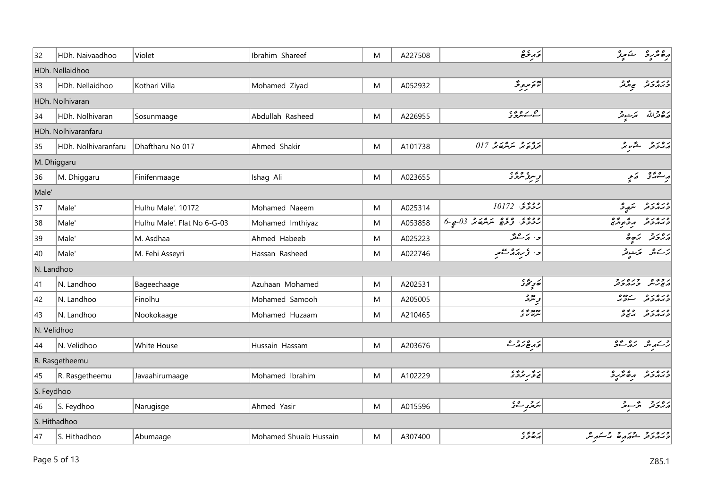| 32         | HDh. Naivaadhoo     | Violet                      | Ibrahim Shareef        | M | A227508 | ورؤه                                            |                                        | رەترىرو شېرو                                |
|------------|---------------------|-----------------------------|------------------------|---|---------|-------------------------------------------------|----------------------------------------|---------------------------------------------|
|            | HDh. Nellaidhoo     |                             |                        |   |         |                                                 |                                        |                                             |
| 33         | HDh. Nellaidhoo     | Kothari Villa               | Mohamed Ziyad          | M | A052932 | تتؤبره قحر                                      |                                        | כגם גב היביק                                |
|            | HDh. Nolhivaran     |                             |                        |   |         |                                                 |                                        |                                             |
| 34         | HDh. Nolhivaran     | Sosunmaage                  | Abdullah Rasheed       | M | A226955 | <u>م ئەشرىرى</u>                                |                                        | رە قراللە كەنجىد                            |
|            | HDh. Nolhivaranfaru |                             |                        |   |         |                                                 |                                        |                                             |
| 35         | HDh. Nolhivaranfaru | Dhaftharu No 017            | Ahmed Shakir           | M | A101738 | رەر ئەرەپ 17                                    |                                        | رەرد ئىگىر                                  |
|            | M. Dhiggaru         |                             |                        |   |         |                                                 |                                        |                                             |
| 36         | M. Dhiggaru         | Finifenmaage                | Ishag Ali              | M | A023655 | وبيرو عرمه د                                    |                                        | وڪشتى صَعِي                                 |
| Male'      |                     |                             |                        |   |         |                                                 |                                        |                                             |
| 37         | Male'               | Hulhu Male'. 10172          | Mohamed Naeem          | M | A025314 | $10172.$ 5532                                   |                                        | ورەر د شھرى                                 |
| 38         | Male'               | Hulhu Male'. Flat No 6-G-03 | Mohamed Imthiyaz       | M | A053858 | دووي وده دورو 3/0-ي.<br>رندون ونوم شهره د 13-ي. | כנסנג תכתחתם                           |                                             |
| 39         | Male'               | M. Asdhaa                   | Ahmed Habeeb           | M | A025223 | و پر کره پچر                                    |                                        | גפגד גם 2<br>גגבע גם                        |
| 40         | Male'               | M. Fehi Asseyri             | Hassan Rasheed         | M | A022746 | د . ۇرۇۋىسىم                                    |                                        | يركتاش المرتقوص                             |
| N. Landhoo |                     |                             |                        |   |         |                                                 |                                        |                                             |
| 41         | N. Landhoo          | Bageechaage                 | Azuhaan Mohamed        | M | A202531 | <br>  ته <sub>مح</sub> مو د                     | ג כשהם המה כבר.<br>היש גליילה המה ביני |                                             |
| 42         | N. Landhoo          | Finolhu                     | Mohamed Samooh         | M | A205005 | ويترتز                                          |                                        | وره رو دوه<br><i>د ب</i> رونر سو <i>د</i> ر |
| 43         | N. Landhoo          | Nookokaage                  | Mohamed Huzaam         | M | A210465 | دوپر در د<br>سربر بر د                          |                                        | כנסנכ כשם<br>כגמכת גבכ                      |
|            | N. Velidhoo         |                             |                        |   |         |                                                 |                                        |                                             |
| 44         | N. Velidhoo         | <b>White House</b>          | Hussain Hassam         | M | A203676 | أقهره مرحم و                                    | ج سكهر شركة رحمي                       |                                             |
|            | R. Rasgetheemu      |                             |                        |   |         |                                                 |                                        |                                             |
| 45         | R. Rasgetheemu      | Javaahirumaage              | Mohamed Ibrahim        | M | A102229 | پر څر پر چر پر                                  | כגמכנג השתנים                          |                                             |
| S. Feydhoo |                     |                             |                        |   |         |                                                 |                                        |                                             |
| 46         | S. Feydhoo          | Narugisge                   | Ahmed Yasir            | M | A015596 | ىئەپرىيە شىمى                                   |                                        | גם ג' ק"ר באייריקאיק<br>ה' ג' פידוקאיק      |
|            | S. Hithadhoo        |                             |                        |   |         |                                                 |                                        |                                             |
| 47         | S. Hithadhoo        | Abumaage                    | Mohamed Shuaib Hussain | M | A307400 | ر و د »<br>د ځون                                | ورەرو دور و ور                         |                                             |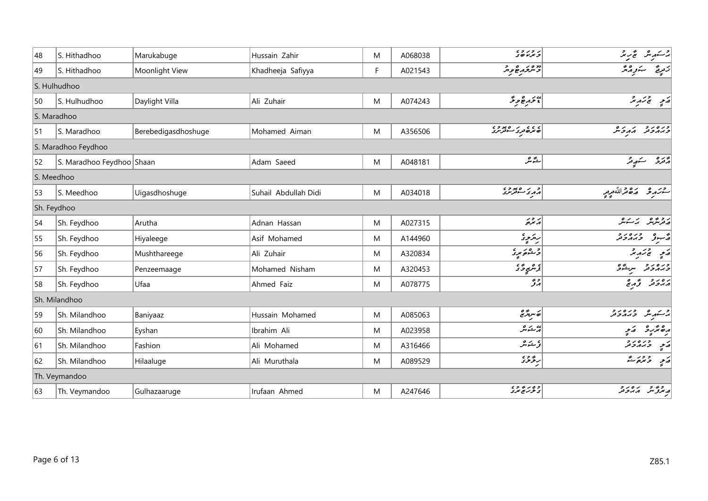| 48 | S. Hithadhoo              | Marukabuge          | Hussain Zahir        | M         | A068038 | 50122                                | رحم شهر میگر برگر<br>مرکز میگر برگر      |
|----|---------------------------|---------------------|----------------------|-----------|---------|--------------------------------------|------------------------------------------|
| 49 | S. Hithadhoo              | Moonlight View      | Khadheeja Safiyya    | F.        | A021543 | در مربر مع مرکز<br>  د سربر مع مرکز  | تزمريح ستورمه                            |
|    | S. Hulhudhoo              |                     |                      |           |         |                                      |                                          |
| 50 | S. Hulhudhoo              | Daylight Villa      | Ali Zuhair           | M         | A074243 | الأخرم هو محر<br>المتحرم الحر        | أرشح بمحتر مرتجه                         |
|    | S. Maradhoo               |                     |                      |           |         |                                      |                                          |
| 51 | S. Maradhoo               | Berebedigasdhoshuge | Mohamed Aiman        | ${\sf M}$ | A356506 | ه ده د ده د ده د<br>ه برخ در سوتربرد | כנסנכ ההכית                              |
|    | S. Maradhoo Feydhoo       |                     |                      |           |         |                                      |                                          |
| 52 | S. Maradhoo Feydhoo Shaan |                     | Adam Saeed           | M         | A048181 | ىشەشر                                | پر رہ<br>پر تر ژ<br>ستهرتر               |
|    | S. Meedhoo                |                     |                      |           |         |                                      |                                          |
| 53 | S. Meedhoo                | Uigasdhoshuge       | Suhail Abdullah Didi | M         | A034018 | د بر ۱۵ پود و چ<br>  د مړي ک         | حرمرو مردور الدّوير                      |
|    | Sh. Feydhoo               |                     |                      |           |         |                                      |                                          |
| 54 | Sh. Feydhoo               | Arutha              | Adnan Hassan         | M         | A027315 | بر جری                               | روژه پرسکر                               |
| 55 | Sh. Feydhoo               | Hiyaleege           | Asif Mohamed         | M         | A144960 | رېزىپە <sup>ي</sup>                  | و رە ر د<br>تر پر تر تر<br>ومجسوقه       |
| 56 | Sh. Feydhoo               | Mushthareege        | Ali Zuhair           | M         | A320834 | و ۵۰۰ مر<br>تر شو <sub>مو مو</sub> ر | $\frac{2}{3}$                            |
| 57 | Sh. Feydhoo               | Penzeemaage         | Mohamed Nisham       | M         | A320453 | ې ش <sub>کې</sub> د <sup>م</sup>     | و ر ه ر و<br><i>و پر</i> پر تر<br>سريشگر |
| 58 | Sh. Feydhoo               | Ufaa                | Ahmed Faiz           | M         | A078775 | دبج                                  | برەر ئەرە                                |
|    | Sh. Milandhoo             |                     |                      |           |         |                                      |                                          |
| 59 | Sh. Milandhoo             | Baniyaaz            | Hussain Mohamed      | M         | A085063 | تەسرچە                               | وكرمرش ورورو                             |
| 60 | Sh. Milandhoo             | Eyshan              | Ibrahim Ali          | M         | A023958 | پرېشەنگر                             | وەترىر ئىر                               |
| 61 | Sh. Milandhoo             | Fashion             | Ali Mohamed          | M         | A316466 | ۇشەشر                                |                                          |
| 62 | Sh. Milandhoo             | Hilaaluge           | Ali Muruthala        | M         | A089529 | رۇدى                                 | أەمو دىمدەن                              |
|    | Th. Veymandoo             |                     |                      |           |         |                                      |                                          |
| 63 | Th. Veymandoo             | Gulhazaaruge        | Irufaan Ahmed        | M         | A247646 | و ہ مر پر و ی<br>می محرک محرک        | ور ده د به در د                          |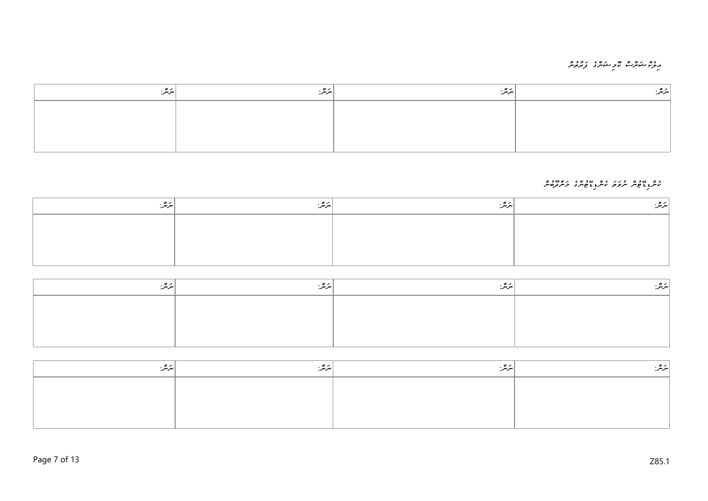## *w7qAn8m?sCw7mRo>u;wEw7mRw;sBo<*

| ' مرمر | 'يئرىثر: |
|--------|----------|
|        |          |
|        |          |
|        |          |

## *w7q9r@w7m>sCw7qHtFoFw7s;mAm=q7w7qHtFoFw7s;*

| يئرمىش: | $^{\circ}$<br>. سر سر<br>$\cdot$ | $\circ$ $\sim$<br>-- | يئرمثر |
|---------|----------------------------------|----------------------|--------|
|         |                                  |                      |        |
|         |                                  |                      |        |
|         |                                  |                      |        |

| $\frac{2}{n}$ | $\overline{\phantom{a}}$ | اير هنه. | $\mathcal{O} \times$<br>سرسر |
|---------------|--------------------------|----------|------------------------------|
|               |                          |          |                              |
|               |                          |          |                              |
|               |                          |          |                              |

| ' ئىرتىر: | سر سر |  |
|-----------|-------|--|
|           |       |  |
|           |       |  |
|           |       |  |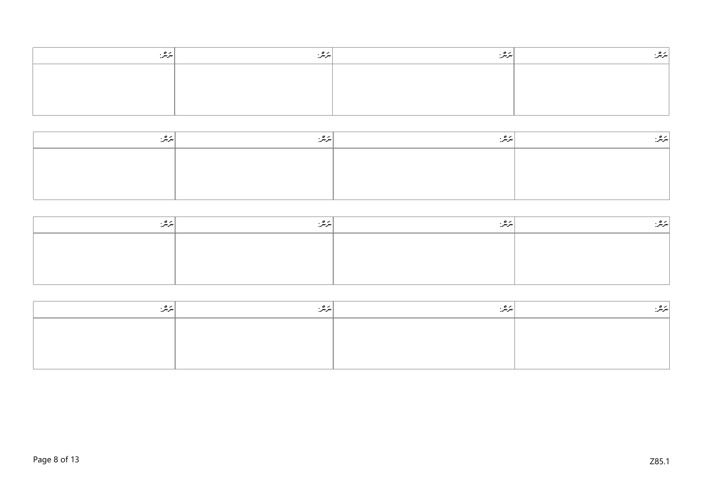| يزهر | $^{\circ}$ | ىئرىتر: |  |
|------|------------|---------|--|
|      |            |         |  |
|      |            |         |  |
|      |            |         |  |

| <sup>.</sup> سرسر. |  |
|--------------------|--|
|                    |  |
|                    |  |
|                    |  |

| ىئرىتر. | $\sim$ | ا بر هه. | لىرىش |
|---------|--------|----------|-------|
|         |        |          |       |
|         |        |          |       |
|         |        |          |       |

| 。<br>مرس. | $\overline{\phantom{a}}$<br>مر سر | يتريثر |
|-----------|-----------------------------------|--------|
|           |                                   |        |
|           |                                   |        |
|           |                                   |        |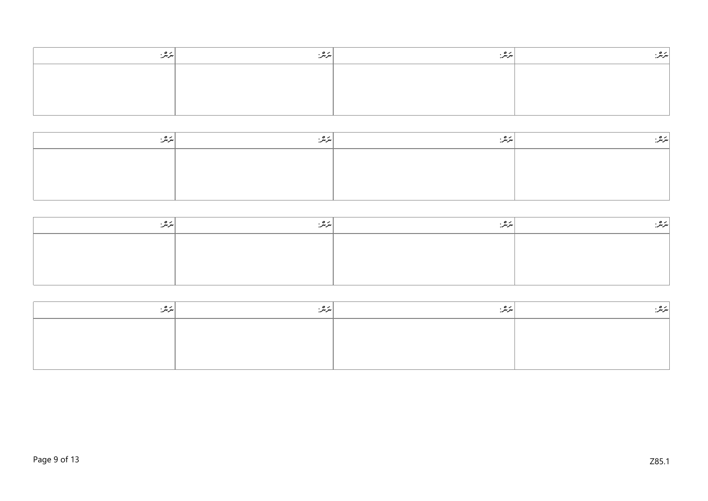| ير هو . | $\overline{\phantom{a}}$ | يرمر | اير هنه. |
|---------|--------------------------|------|----------|
|         |                          |      |          |
|         |                          |      |          |
|         |                          |      |          |

| ىر تىر: | $\circ$ $\sim$<br>" سرسر . | يترمير | o . |
|---------|----------------------------|--------|-----|
|         |                            |        |     |
|         |                            |        |     |
|         |                            |        |     |

| نتزيتر به | 。 | 。<br>سرسر. | o <i>~</i> |
|-----------|---|------------|------------|
|           |   |            |            |
|           |   |            |            |
|           |   |            |            |

|  | . ه |
|--|-----|
|  |     |
|  |     |
|  |     |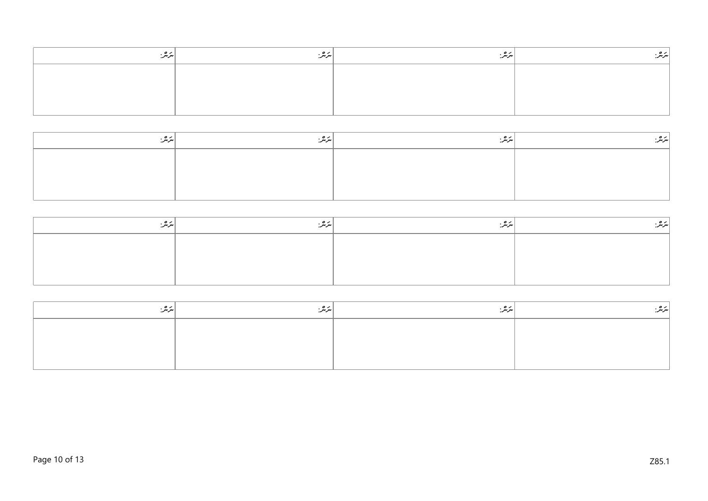| ير هو . | $\overline{\phantom{a}}$ | يرمر | اير هنه. |
|---------|--------------------------|------|----------|
|         |                          |      |          |
|         |                          |      |          |
|         |                          |      |          |

| ئىرتىر: | $\sim$<br>ا سرسر . | يئرمثر | o . |
|---------|--------------------|--------|-----|
|         |                    |        |     |
|         |                    |        |     |
|         |                    |        |     |

| الترنثر: | ' مرتكز: | الترنثر: | .,<br>سرس. |
|----------|----------|----------|------------|
|          |          |          |            |
|          |          |          |            |
|          |          |          |            |

|  | . ه |
|--|-----|
|  |     |
|  |     |
|  |     |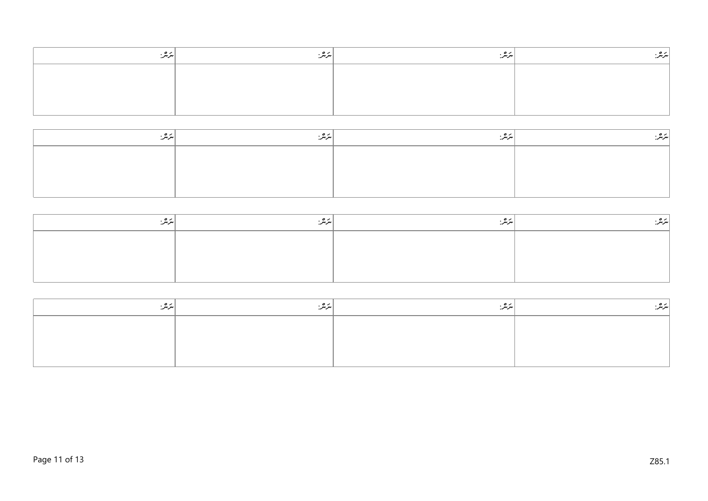| $\cdot$ | 。 | $\frac{\circ}{\cdot}$ | $\sim$<br>سرسر |
|---------|---|-----------------------|----------------|
|         |   |                       |                |
|         |   |                       |                |
|         |   |                       |                |

| يريثن | ' سرسر . |  |
|-------|----------|--|
|       |          |  |
|       |          |  |
|       |          |  |

| بر ه | . ه | $\sim$<br>سرسر |  |
|------|-----|----------------|--|
|      |     |                |  |
|      |     |                |  |
|      |     |                |  |

| 。<br>. س | ىرىىر |  |
|----------|-------|--|
|          |       |  |
|          |       |  |
|          |       |  |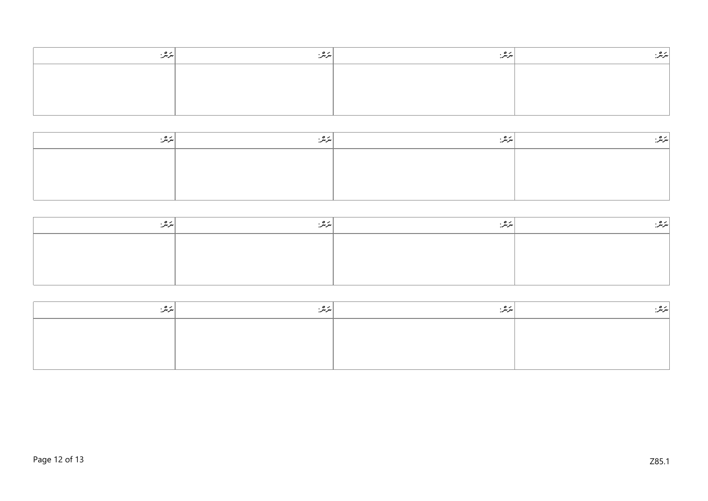| ير هو . | $\overline{\phantom{a}}$ | يرمر | اير هنه. |
|---------|--------------------------|------|----------|
|         |                          |      |          |
|         |                          |      |          |
|         |                          |      |          |

| ىر تىر: | $\circ$ $\sim$<br>" سرسر . | يترمير | o . |
|---------|----------------------------|--------|-----|
|         |                            |        |     |
|         |                            |        |     |
|         |                            |        |     |

| 'تترنثر: | 。<br>,,,, |  |
|----------|-----------|--|
|          |           |  |
|          |           |  |
|          |           |  |

|  | . ه |
|--|-----|
|  |     |
|  |     |
|  |     |